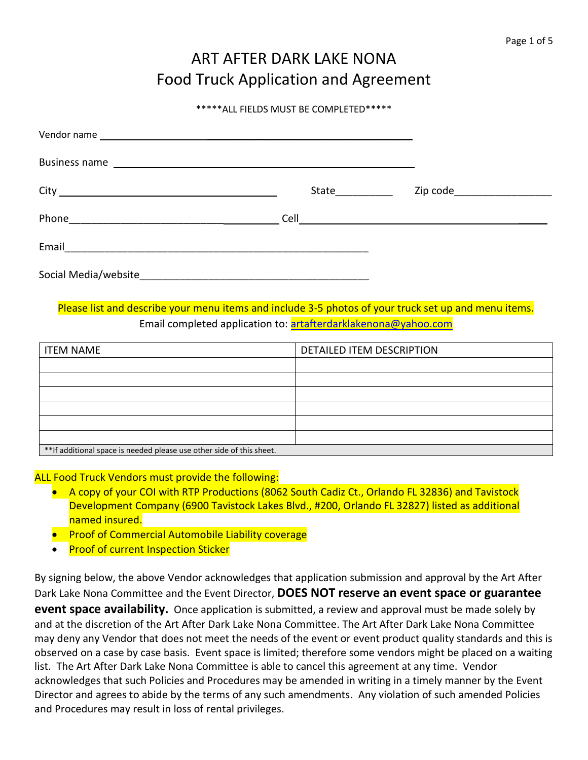# ART AFTER DARK LAKE NONA Food Truck Application and Agreement

#### \*\*\*\*\*ALL FIELDS MUST BE COMPLETED\*\*\*\*\*

| State | Zip code_____________________ |
|-------|-------------------------------|
|       |                               |
|       |                               |
|       |                               |

## Please list and describe your menu items and include 3-5 photos of your truck set up and menu items. Email completed application to: [artafterdarklakenona@yahoo.com](mailto:artafterdarklakenona@yahoo.com)

| <b>ITEM NAME</b>                                                      | DETAILED ITEM DESCRIPTION |
|-----------------------------------------------------------------------|---------------------------|
|                                                                       |                           |
|                                                                       |                           |
|                                                                       |                           |
|                                                                       |                           |
|                                                                       |                           |
|                                                                       |                           |
| ** If additional space is needed please use other side of this sheet. |                           |

## ALL Food Truck Vendors must provide the following:

- A copy of your COI with RTP Productions (8062 South Cadiz Ct., Orlando FL 32836) and Tavistock Development Company (6900 Tavistock Lakes Blvd., #200, Orlando FL 32827) listed as additional named insured.
- Proof of Commercial Automobile Liability coverage
- Proof of current Inspection Sticker

By signing below, the above Vendor acknowledges that application submission and approval by the Art After Dark Lake Nona Committee and the Event Director, **DOES NOT reserve an event space or guarantee event space availability.** Once application is submitted, a review and approval must be made solely by and at the discretion of the Art After Dark Lake Nona Committee. The Art After Dark Lake Nona Committee may deny any Vendor that does not meet the needs of the event or event product quality standards and this is observed on a case by case basis. Event space is limited; therefore some vendors might be placed on a waiting list. The Art After Dark Lake Nona Committee is able to cancel this agreement at any time. Vendor acknowledges that such Policies and Procedures may be amended in writing in a timely manner by the Event Director and agrees to abide by the terms of any such amendments. Any violation of such amended Policies and Procedures may result in loss of rental privileges.